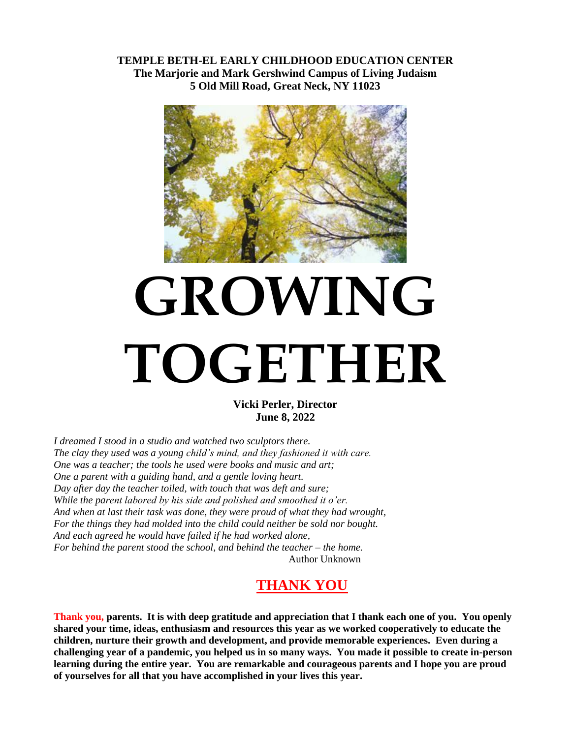**TEMPLE BETH-EL EARLY CHILDHOOD EDUCATION CENTER The Marjorie and Mark Gershwind Campus of Living Judaism 5 Old Mill Road, Great Neck, NY 11023**



## **GROWING TOGETHER**

**Vicki Perler, Director June 8, 2022**

*I dreamed I stood in a studio and watched two sculptors there. The clay they used was a young child's mind, and they fashioned it with care. One was a teacher; the tools he used were books and music and art; One a parent with a guiding hand, and a gentle loving heart. Day after day the teacher toiled, with touch that was deft and sure; While the parent labored by his side and polished and smoothed it o'er. And when at last their task was done, they were proud of what they had wrought, For the things they had molded into the child could neither be sold nor bought. And each agreed he would have failed if he had worked alone, For behind the parent stood the school, and behind the teacher – the home.* Author Unknown

## **THANK YOU**

**Thank you, parents. It is with deep gratitude and appreciation that I thank each one of you. You openly shared your time, ideas, enthusiasm and resources this year as we worked cooperatively to educate the children, nurture their growth and development, and provide memorable experiences. Even during a challenging year of a pandemic, you helped us in so many ways. You made it possible to create in-person learning during the entire year. You are remarkable and courageous parents and I hope you are proud of yourselves for all that you have accomplished in your lives this year.**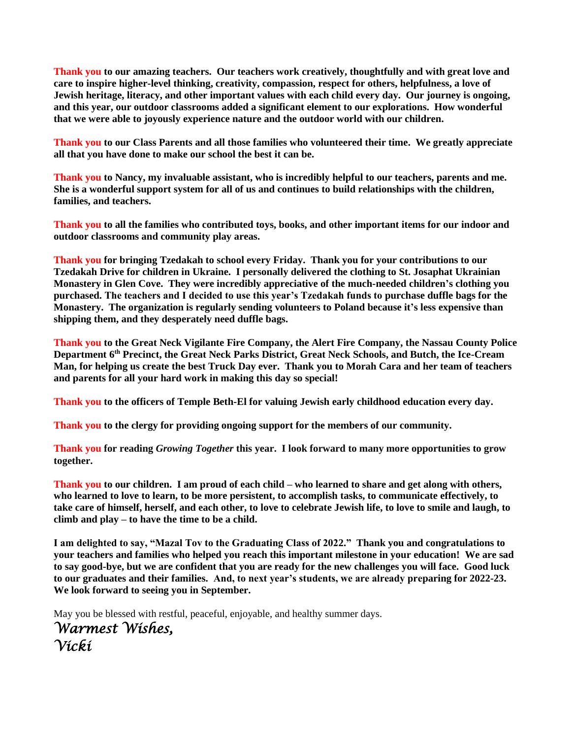**Thank you to our amazing teachers. Our teachers work creatively, thoughtfully and with great love and care to inspire higher-level thinking, creativity, compassion, respect for others, helpfulness, a love of Jewish heritage, literacy, and other important values with each child every day. Our journey is ongoing, and this year, our outdoor classrooms added a significant element to our explorations. How wonderful that we were able to joyously experience nature and the outdoor world with our children.**

**Thank you to our Class Parents and all those families who volunteered their time. We greatly appreciate all that you have done to make our school the best it can be.**

**Thank you to Nancy, my invaluable assistant, who is incredibly helpful to our teachers, parents and me. She is a wonderful support system for all of us and continues to build relationships with the children, families, and teachers.**

**Thank you to all the families who contributed toys, books, and other important items for our indoor and outdoor classrooms and community play areas.**

**Thank you for bringing Tzedakah to school every Friday. Thank you for your contributions to our Tzedakah Drive for children in Ukraine. I personally delivered the clothing to St. Josaphat Ukrainian Monastery in Glen Cove. They were incredibly appreciative of the much-needed children's clothing you purchased. The teachers and I decided to use this year's Tzedakah funds to purchase duffle bags for the Monastery. The organization is regularly sending volunteers to Poland because it's less expensive than shipping them, and they desperately need duffle bags.**

**Thank you to the Great Neck Vigilante Fire Company, the Alert Fire Company, the Nassau County Police Department 6 th Precinct, the Great Neck Parks District, Great Neck Schools, and Butch, the Ice-Cream Man, for helping us create the best Truck Day ever. Thank you to Morah Cara and her team of teachers and parents for all your hard work in making this day so special!**

**Thank you to the officers of Temple Beth-El for valuing Jewish early childhood education every day.** 

**Thank you to the clergy for providing ongoing support for the members of our community.**

**Thank you for reading** *Growing Together* **this year. I look forward to many more opportunities to grow together.**

**Thank you to our children. I am proud of each child – who learned to share and get along with others, who learned to love to learn, to be more persistent, to accomplish tasks, to communicate effectively, to take care of himself, herself, and each other, to love to celebrate Jewish life, to love to smile and laugh, to climb and play – to have the time to be a child.**

**I am delighted to say, "Mazal Tov to the Graduating Class of 2022." Thank you and congratulations to your teachers and families who helped you reach this important milestone in your education! We are sad to say good-bye, but we are confident that you are ready for the new challenges you will face. Good luck to our graduates and their families. And, to next year's students, we are already preparing for 2022-23. We look forward to seeing you in September.**

May you be blessed with restful, peaceful, enjoyable, and healthy summer days.

```
Warmest Wishes,
Vicki
```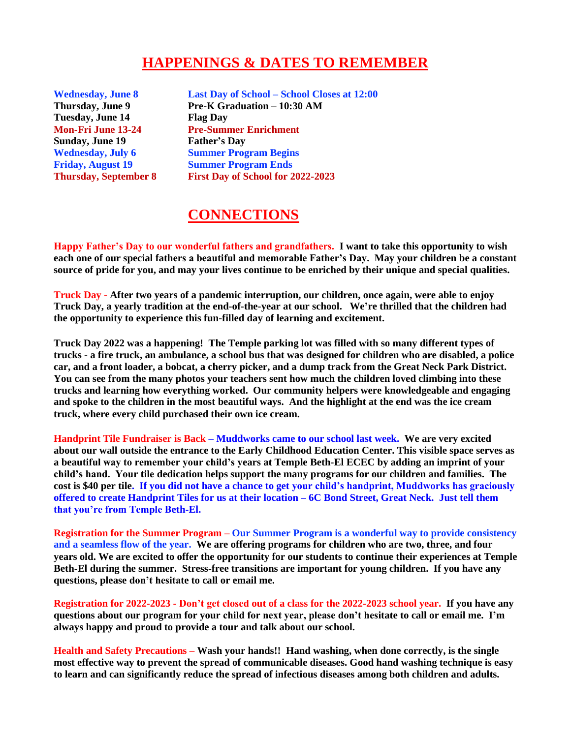## **HAPPENINGS & DATES TO REMEMBER**

**Tuesday, June 14 Flag Day Sunday, June 19 Father's Day**

**Wednesday, June 8 Last Day of School – School Closes at 12:00 Thursday, June 9 Pre-K Graduation – 10:30 AM Mon-Fri June 13-24 Pre-Summer Enrichment Wednesday, July 6 Summer Program Begins Friday, August 19 Summer Program Ends Thursday, September 8 First Day of School for 2022-2023**

## **CONNECTIONS**

**Happy Father's Day to our wonderful fathers and grandfathers. I want to take this opportunity to wish each one of our special fathers a beautiful and memorable Father's Day. May your children be a constant source of pride for you, and may your lives continue to be enriched by their unique and special qualities.**

**Truck Day - After two years of a pandemic interruption, our children, once again, were able to enjoy Truck Day, a yearly tradition at the end-of-the-year at our school. We're thrilled that the children had the opportunity to experience this fun-filled day of learning and excitement.**

**Truck Day 2022 was a happening! The Temple parking lot was filled with so many different types of trucks - a fire truck, an ambulance, a school bus that was designed for children who are disabled, a police car, and a front loader, a bobcat, a cherry picker, and a dump track from the Great Neck Park District. You can see from the many photos your teachers sent how much the children loved climbing into these trucks and learning how everything worked. Our community helpers were knowledgeable and engaging and spoke to the children in the most beautiful ways. And the highlight at the end was the ice cream truck, where every child purchased their own ice cream.** 

**Handprint Tile Fundraiser is Back – Muddworks came to our school last week. We are very excited about our wall outside the entrance to the Early Childhood Education Center. This visible space serves as a beautiful way to remember your child's years at Temple Beth-El ECEC by adding an imprint of your child's hand. Your tile dedication helps support the many programs for our children and families. The cost is \$40 per tile. If you did not have a chance to get your child's handprint, Muddworks has graciously offered to create Handprint Tiles for us at their location – 6C Bond Street, Great Neck. Just tell them that you're from Temple Beth-El.**

**Registration for the Summer Program – Our Summer Program is a wonderful way to provide consistency and a seamless flow of the year. We are offering programs for children who are two, three, and four years old. We are excited to offer the opportunity for our students to continue their experiences at Temple Beth-El during the summer. Stress-free transitions are important for young children. If you have any questions, please don't hesitate to call or email me.**

**Registration for 2022-2023 - Don't get closed out of a class for the 2022-2023 school year. If you have any questions about our program for your child for next year, please don't hesitate to call or email me. I'm always happy and proud to provide a tour and talk about our school.** 

**Health and Safety Precautions – Wash your hands!! Hand washing, when done correctly, is the single most effective way to prevent the spread of communicable diseases. Good hand washing technique is easy to learn and can significantly reduce the spread of infectious diseases among both children and adults.**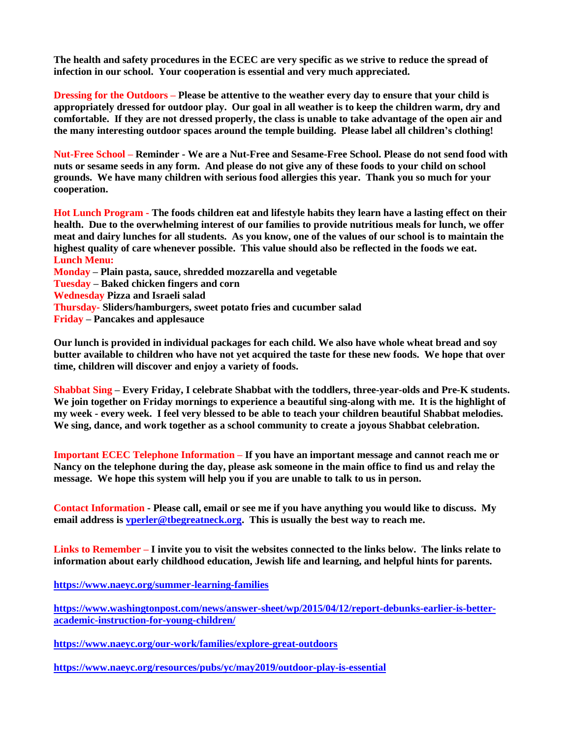**The health and safety procedures in the ECEC are very specific as we strive to reduce the spread of infection in our school. Your cooperation is essential and very much appreciated.**

**Dressing for the Outdoors – Please be attentive to the weather every day to ensure that your child is appropriately dressed for outdoor play. Our goal in all weather is to keep the children warm, dry and comfortable. If they are not dressed properly, the class is unable to take advantage of the open air and the many interesting outdoor spaces around the temple building. Please label all children's clothing!**

**Nut-Free School – Reminder - We are a Nut-Free and Sesame-Free School. Please do not send food with nuts or sesame seeds in any form. And please do not give any of these foods to your child on school grounds. We have many children with serious food allergies this year. Thank you so much for your cooperation.**

**Hot Lunch Program - The foods children eat and lifestyle habits they learn have a lasting effect on their health. Due to the overwhelming interest of our families to provide nutritious meals for lunch, we offer meat and dairy lunches for all students. As you know, one of the values of our school is to maintain the highest quality of care whenever possible. This value should also be reflected in the foods we eat. Lunch Menu:**

**Monday – Plain pasta, sauce, shredded mozzarella and vegetable Tuesday – Baked chicken fingers and corn Wednesday Pizza and Israeli salad Thursday- Sliders/hamburgers, sweet potato fries and cucumber salad Friday – Pancakes and applesauce**

**Our lunch is provided in individual packages for each child. We also have whole wheat bread and soy butter available to children who have not yet acquired the taste for these new foods. We hope that over time, children will discover and enjoy a variety of foods.**

**Shabbat Sing – Every Friday, I celebrate Shabbat with the toddlers, three-year-olds and Pre-K students. We join together on Friday mornings to experience a beautiful sing-along with me. It is the highlight of my week - every week. I feel very blessed to be able to teach your children beautiful Shabbat melodies. We sing, dance, and work together as a school community to create a joyous Shabbat celebration.**

**Important ECEC Telephone Information – If you have an important message and cannot reach me or Nancy on the telephone during the day, please ask someone in the main office to find us and relay the message. We hope this system will help you if you are unable to talk to us in person.**

**Contact Information - Please call, email or see me if you have anything you would like to discuss. My email address is [vperler@tbegreatneck.org.](mailto:vperler@tbegreatneck.org) This is usually the best way to reach me.**

**Links to Remember – I invite you to visit the websites connected to the links below. The links relate to information about early childhood education, Jewish life and learning, and helpful hints for parents.**

**<https://www.naeyc.org/summer-learning-families>**

**[https://www.washingtonpost.com/news/answer-sheet/wp/2015/04/12/report-debunks-earlier-is-better](https://www.washingtonpost.com/news/answer-sheet/wp/2015/04/12/report-debunks-earlier-is-better-academic-instruction-for-young-children/)[academic-instruction-for-young-children/](https://www.washingtonpost.com/news/answer-sheet/wp/2015/04/12/report-debunks-earlier-is-better-academic-instruction-for-young-children/)**

**<https://www.naeyc.org/our-work/families/explore-great-outdoors>**

**<https://www.naeyc.org/resources/pubs/yc/may2019/outdoor-play-is-essential>**